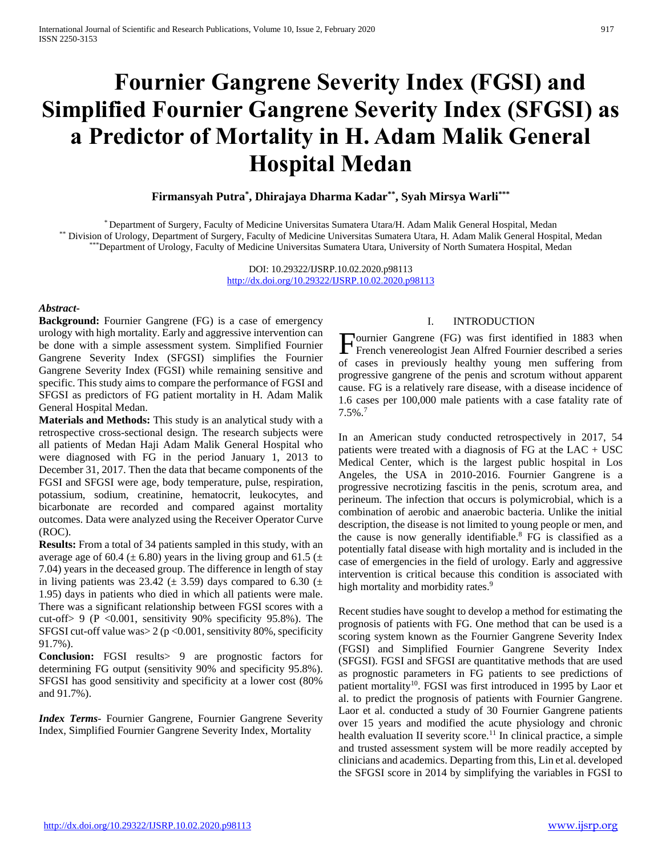# **Fournier Gangrene Severity Index (FGSI) and Simplified Fournier Gangrene Severity Index (SFGSI) as a Predictor of Mortality in H. Adam Malik General Hospital Medan**

**Firmansyah Putra\* , Dhirajaya Dharma Kadar\*\* , Syah Mirsya Warli\*\*\***

\* Department of Surgery, Faculty of Medicine Universitas Sumatera Utara/H. Adam Malik General Hospital, Medan \*\* Division of Urology, Department of Surgery, Faculty of Medicine Universitas Sumatera Utara, H. Adam Malik General Hospital, Medan \*\*\*Department of Urology, Faculty of Medicine Universitas Sumatera Utara, University of North Sumatera Hospital, Medan

> DOI: 10.29322/IJSRP.10.02.2020.p98113 <http://dx.doi.org/10.29322/IJSRP.10.02.2020.p98113>

### *Abstract***-**

**Background:** Fournier Gangrene (FG) is a case of emergency urology with high mortality. Early and aggressive intervention can be done with a simple assessment system. Simplified Fournier Gangrene Severity Index (SFGSI) simplifies the Fournier Gangrene Severity Index (FGSI) while remaining sensitive and specific. This study aims to compare the performance of FGSI and SFGSI as predictors of FG patient mortality in H. Adam Malik General Hospital Medan.

**Materials and Methods:** This study is an analytical study with a retrospective cross-sectional design. The research subjects were all patients of Medan Haji Adam Malik General Hospital who were diagnosed with FG in the period January 1, 2013 to December 31, 2017. Then the data that became components of the FGSI and SFGSI were age, body temperature, pulse, respiration, potassium, sodium, creatinine, hematocrit, leukocytes, and bicarbonate are recorded and compared against mortality outcomes. Data were analyzed using the Receiver Operator Curve (ROC).

**Results:** From a total of 34 patients sampled in this study, with an average age of 60.4 ( $\pm$  6.80) years in the living group and 61.5 ( $\pm$ 7.04) years in the deceased group. The difference in length of stay in living patients was 23.42 ( $\pm$  3.59) days compared to 6.30 ( $\pm$ 1.95) days in patients who died in which all patients were male. There was a significant relationship between FGSI scores with a cut-off> 9 (P <0.001, sensitivity 90% specificity 95.8%). The SFGSI cut-off value was  $> 2$  (p < 0.001, sensitivity 80%, specificity 91.7%).

**Conclusion:** FGSI results> 9 are prognostic factors for determining FG output (sensitivity 90% and specificity 95.8%). SFGSI has good sensitivity and specificity at a lower cost (80% and 91.7%).

*Index Terms*- Fournier Gangrene, Fournier Gangrene Severity Index, Simplified Fournier Gangrene Severity Index, Mortality

### I. INTRODUCTION

Fournier Gangrene (FG) was first identified in 1883 when<br>French venereologist Jean Alfred Fournier described a series French venereologist Jean Alfred Fournier described a series of cases in previously healthy young men suffering from progressive gangrene of the penis and scrotum without apparent cause. FG is a relatively rare disease, with a disease incidence of 1.6 cases per 100,000 male patients with a case fatality rate of 7.5%.<sup>7</sup>

In an American study conducted retrospectively in 2017, 54 patients were treated with a diagnosis of FG at the  $LAC + USC$ Medical Center, which is the largest public hospital in Los Angeles, the USA in 2010-2016. Fournier Gangrene is a progressive necrotizing fascitis in the penis, scrotum area, and perineum. The infection that occurs is polymicrobial, which is a combination of aerobic and anaerobic bacteria. Unlike the initial description, the disease is not limited to young people or men, and the cause is now generally identifiable.<sup>8</sup> FG is classified as a potentially fatal disease with high mortality and is included in the case of emergencies in the field of urology. Early and aggressive intervention is critical because this condition is associated with high mortality and morbidity rates.<sup>9</sup>

Recent studies have sought to develop a method for estimating the prognosis of patients with FG. One method that can be used is a scoring system known as the Fournier Gangrene Severity Index (FGSI) and Simplified Fournier Gangrene Severity Index (SFGSI). FGSI and SFGSI are quantitative methods that are used as prognostic parameters in FG patients to see predictions of patient mortality<sup>10</sup>. FGSI was first introduced in 1995 by Laor et al. to predict the prognosis of patients with Fournier Gangrene. Laor et al. conducted a study of 30 Fournier Gangrene patients over 15 years and modified the acute physiology and chronic health evaluation II severity score.<sup>11</sup> In clinical practice, a simple and trusted assessment system will be more readily accepted by clinicians and academics. Departing from this, Lin et al. developed the SFGSI score in 2014 by simplifying the variables in FGSI to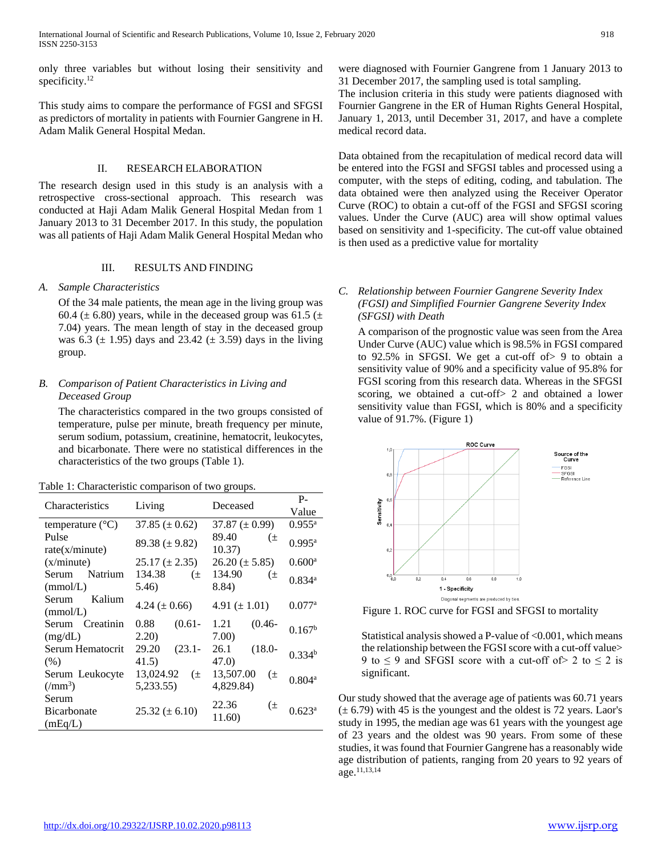only three variables but without losing their sensitivity and specificity.<sup>12</sup>

This study aims to compare the performance of FGSI and SFGSI as predictors of mortality in patients with Fournier Gangrene in H. Adam Malik General Hospital Medan.

# II. RESEARCH ELABORATION

The research design used in this study is an analysis with a retrospective cross-sectional approach. This research was conducted at Haji Adam Malik General Hospital Medan from 1 January 2013 to 31 December 2017. In this study, the population was all patients of Haji Adam Malik General Hospital Medan who

# III. RESULTS AND FINDING

# *A. Sample Characteristics*

Of the 34 male patients, the mean age in the living group was 60.4 ( $\pm$  6.80) years, while in the deceased group was 61.5 ( $\pm$ 7.04) years. The mean length of stay in the deceased group was 6.3 ( $\pm$  1.95) days and 23.42 ( $\pm$  3.59) days in the living group.

# *B. Comparison of Patient Characteristics in Living and Deceased Group*

The characteristics compared in the two groups consisted of temperature, pulse per minute, breath frequency per minute, serum sodium, potassium, creatinine, hematocrit, leukocytes, and bicarbonate. There were no statistical differences in the characteristics of the two groups (Table 1).

| Table 1: Characteristic comparison of two groups. |  |  |  |  |  |
|---------------------------------------------------|--|--|--|--|--|
|---------------------------------------------------|--|--|--|--|--|

| <b>Characteristics</b>                         |                               | Deceased                         | $P -$                |
|------------------------------------------------|-------------------------------|----------------------------------|----------------------|
|                                                | Living                        |                                  | Value                |
| temperature $(^{\circ}C)$                      | 37.85 ( $\pm$ 0.62)           | 37.87 $(\pm 0.99)$               | $0.955^{\rm a}$      |
| Pulse                                          | 89.38 ( $\pm$ 9.82)           | 89.40<br>$(\pm$                  | 0.995a               |
| rate(x/minute)<br>(x/minute)                   | $25.17 \ (\pm 2.35)$          | 10.37)<br>$26.20 (\pm 5.85)$     | $0.600$ <sup>a</sup> |
| Serum Natrium<br>(mmol/L)                      | 134.38<br>$(\pm$<br>5.46)     | 134.90<br>$(\pm$<br>8.84)        | $0.834$ <sup>a</sup> |
| Kalium<br>Serum<br>(mmol/L)                    | 4.24 ( $\pm$ 0.66)            | 4.91 $(\pm 1.01)$                | $0.077$ <sup>a</sup> |
| Serum Creatinin<br>(mg/dL)                     | $(0.61 -$<br>0.88<br>2.20)    | $(0.46 -$<br>1.21<br>7.00)       | 0.167 <sup>b</sup>   |
| Serum Hematocrit<br>(% )                       | 29.20<br>$(23.1 -$<br>41.5)   | 26.1<br>$(18.0 -$<br>47.0)       | $0.334^{b}$          |
| Serum Leukocyte<br>$\left(\text{/mm}^3\right)$ | 13,024.92 $(\pm$<br>5,233.55) | 13,507.00<br>$(\pm$<br>4,829.84) | 0.804 <sup>a</sup>   |
| Serum<br><b>Bicarbonate</b><br>(mEq/L)         | $25.32 \ (\pm 6.10)$          | 22.36<br>(±<br>11.60)            | 0.623 <sup>a</sup>   |

were diagnosed with Fournier Gangrene from 1 January 2013 to 31 December 2017, the sampling used is total sampling.

The inclusion criteria in this study were patients diagnosed with Fournier Gangrene in the ER of Human Rights General Hospital, January 1, 2013, until December 31, 2017, and have a complete medical record data.

Data obtained from the recapitulation of medical record data will be entered into the FGSI and SFGSI tables and processed using a computer, with the steps of editing, coding, and tabulation. The data obtained were then analyzed using the Receiver Operator Curve (ROC) to obtain a cut-off of the FGSI and SFGSI scoring values. Under the Curve (AUC) area will show optimal values based on sensitivity and 1-specificity. The cut-off value obtained is then used as a predictive value for mortality

# *C. Relationship between Fournier Gangrene Severity Index (FGSI) and Simplified Fournier Gangrene Severity Index (SFGSI) with Death*

A comparison of the prognostic value was seen from the Area Under Curve (AUC) value which is 98.5% in FGSI compared to 92.5% in SFGSI. We get a cut-off of> 9 to obtain a sensitivity value of 90% and a specificity value of 95.8% for FGSI scoring from this research data. Whereas in the SFGSI scoring, we obtained a cut-off> 2 and obtained a lower sensitivity value than FGSI, which is 80% and a specificity value of 91.7%. (Figure 1)



Figure 1. ROC curve for FGSI and SFGSI to mortality

Statistical analysis showed a P-value of <0.001, which means the relationship between the FGSI score with a cut-off value> 9 to  $\leq$  9 and SFGSI score with a cut-off of  $>$  2 to  $\leq$  2 is significant.

Our study showed that the average age of patients was 60.71 years  $(\pm 6.79)$  with 45 is the youngest and the oldest is 72 years. Laor's study in 1995, the median age was 61 years with the youngest age of 23 years and the oldest was 90 years. From some of these studies, it was found that Fournier Gangrene has a reasonably wide age distribution of patients, ranging from 20 years to 92 years of age.11,13,14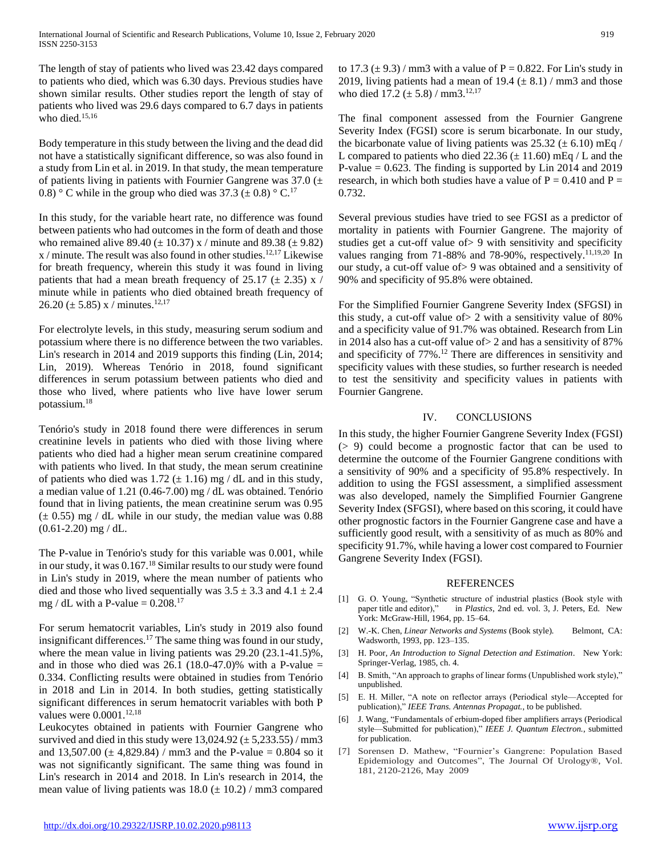The length of stay of patients who lived was 23.42 days compared to patients who died, which was 6.30 days. Previous studies have shown similar results. Other studies report the length of stay of patients who lived was 29.6 days compared to 6.7 days in patients who died.<sup>15,16</sup>

Body temperature in this study between the living and the dead did not have a statistically significant difference, so was also found in a study from Lin et al. in 2019. In that study, the mean temperature of patients living in patients with Fournier Gangrene was  $37.0 \ (\pm$ 0.8) ° C while in the group who died was 37.3 ( $\pm$  0.8) ° C.<sup>17</sup>

In this study, for the variable heart rate, no difference was found between patients who had outcomes in the form of death and those who remained alive 89.40 ( $\pm$  10.37) x / minute and 89.38 ( $\pm$  9.82)  $x$  / minute. The result was also found in other studies.<sup>12,17</sup> Likewise for breath frequency, wherein this study it was found in living patients that had a mean breath frequency of 25.17 ( $\pm$  2.35) x / minute while in patients who died obtained breath frequency of 26.20 ( $\pm$  5.85) x / minutes.<sup>12,17</sup>

For electrolyte levels, in this study, measuring serum sodium and potassium where there is no difference between the two variables. Lin's research in 2014 and 2019 supports this finding (Lin, 2014; Lin, 2019). Whereas Tenório in 2018, found significant differences in serum potassium between patients who died and those who lived, where patients who live have lower serum potassium. 18

Tenório's study in 2018 found there were differences in serum creatinine levels in patients who died with those living where patients who died had a higher mean serum creatinine compared with patients who lived. In that study, the mean serum creatinine of patients who died was 1.72  $(\pm 1.16)$  mg / dL and in this study, a median value of 1.21 (0.46-7.00) mg / dL was obtained. Tenório found that in living patients, the mean creatinine serum was 0.95  $(\pm 0.55)$  mg / dL while in our study, the median value was 0.88  $(0.61 - 2.20)$  mg / dL.

The P-value in Tenório's study for this variable was 0.001, while in our study, it was  $0.167<sup>18</sup>$  Similar results to our study were found in Lin's study in 2019, where the mean number of patients who died and those who lived sequentially was  $3.5 \pm 3.3$  and  $4.1 \pm 2.4$ mg / dL with a P-value  $= 0.208$ <sup>17</sup>

For serum hematocrit variables, Lin's study in 2019 also found insignificant differences.<sup>17</sup> The same thing was found in our study, where the mean value in living patients was 29.20 (23.1-41.5)%, and in those who died was  $26.1$  (18.0-47.0)% with a P-value = 0.334. Conflicting results were obtained in studies from Tenório in 2018 and Lin in 2014. In both studies, getting statistically significant differences in serum hematocrit variables with both P values were  $0.0001$ .<sup>12,18</sup>

Leukocytes obtained in patients with Fournier Gangrene who survived and died in this study were  $13,024.92 \ (\pm 5,233.55)$  / mm3 and 13,507.00 ( $\pm$  4,829.84) / mm3 and the P-value = 0.804 so it was not significantly significant. The same thing was found in Lin's research in 2014 and 2018. In Lin's research in 2014, the mean value of living patients was  $18.0 \ (\pm 10.2) / \text{mm}$ 3 compared to 17.3 ( $\pm$  9.3) / mm3 with a value of P = 0.822. For Lin's study in 2019, living patients had a mean of 19.4  $(\pm 8.1)$  / mm3 and those who died  $17.2 (\pm 5.8) / \text{mm}3.^{12,17}$ 

The final component assessed from the Fournier Gangrene Severity Index (FGSI) score is serum bicarbonate. In our study, the bicarbonate value of living patients was  $25.32 \ (\pm 6.10) \text{ mEq}$  / L compared to patients who died  $22.36 \ (\pm 11.60) \ \text{mEq}$  / L and the P-value  $= 0.623$ . The finding is supported by Lin 2014 and 2019 research, in which both studies have a value of  $P = 0.410$  and  $P =$ 0.732.

Several previous studies have tried to see FGSI as a predictor of mortality in patients with Fournier Gangrene. The majority of studies get a cut-off value of> 9 with sensitivity and specificity values ranging from 71-88% and 78-90%, respectively.<sup>11,19,20</sup> In our study, a cut-off value of> 9 was obtained and a sensitivity of 90% and specificity of 95.8% were obtained.

For the Simplified Fournier Gangrene Severity Index (SFGSI) in this study, a cut-off value of> 2 with a sensitivity value of 80% and a specificity value of 91.7% was obtained. Research from Lin in 2014 also has a cut-off value of> 2 and has a sensitivity of 87% and specificity of 77%.<sup>12</sup> There are differences in sensitivity and specificity values with these studies, so further research is needed to test the sensitivity and specificity values in patients with Fournier Gangrene.

# IV. CONCLUSIONS

In this study, the higher Fournier Gangrene Severity Index (FGSI) (> 9) could become a prognostic factor that can be used to determine the outcome of the Fournier Gangrene conditions with a sensitivity of 90% and a specificity of 95.8% respectively. In addition to using the FGSI assessment, a simplified assessment was also developed, namely the Simplified Fournier Gangrene Severity Index (SFGSI), where based on this scoring, it could have other prognostic factors in the Fournier Gangrene case and have a sufficiently good result, with a sensitivity of as much as 80% and specificity 91.7%, while having a lower cost compared to Fournier Gangrene Severity Index (FGSI).

### REFERENCES

- [1] G. O. Young, "Synthetic structure of industrial plastics (Book style with paper title and editor)," in *Plastics*, 2nd ed. vol. 3, J. Peters, Ed. New York: McGraw-Hill, 1964, pp. 15–64.
- [2] W.-K. Chen, *Linear Networks and Systems* (Book style). Belmont, CA: Wadsworth, 1993, pp. 123–135.
- [3] H. Poor, *An Introduction to Signal Detection and Estimation*. New York: Springer-Verlag, 1985, ch. 4.
- [4] B. Smith, "An approach to graphs of linear forms (Unpublished work style)," unpublished.
- [5] E. H. Miller, "A note on reflector arrays (Periodical style—Accepted for publication)," *IEEE Trans. Antennas Propagat.*, to be published.
- [6] J. Wang, "Fundamentals of erbium-doped fiber amplifiers arrays (Periodical style—Submitted for publication)," *IEEE J. Quantum Electron.*, submitted for publication.
- [7] Sorensen D. Mathew, "Fournier's Gangrene: Population Based Epidemiology and Outcomes", The Journal Of Urology®, Vol. 181, 2120-2126, May 2009